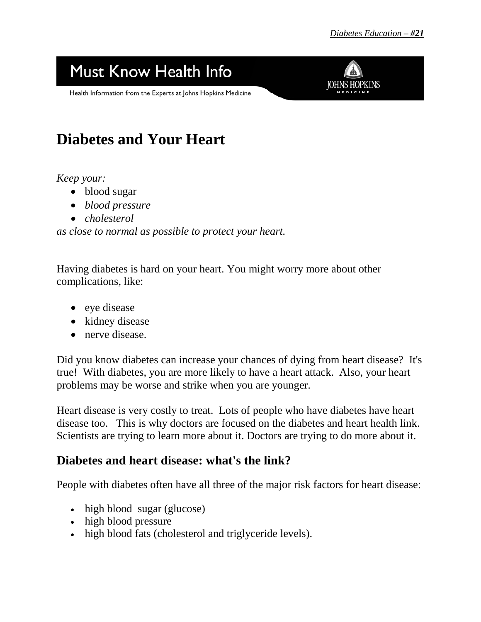## Must Know Health Info

Health Information from the Experts at Johns Hopkins Medicine



## **Diabetes and Your Heart**

*Keep your:*

- blood sugar
- *blood pressure*
- *cholesterol*

*as close to normal as possible to protect your heart.* 

Having diabetes is hard on your heart. You might worry more about other complications, like:

- eye disease
- kidney disease
- nerve disease.

Did you know diabetes can increase your chances of dying from heart disease?It's true! With diabetes, you are more likely to have a heart attack. Also, your heart problems may be worse and strike when you are younger.

Heart disease is very costly to treat. Lots of people who have diabetes have heart disease too. This is why doctors are focused on the diabetes and heart health link. Scientists are trying to learn more about it. Doctors are trying to do more about it.

## **Diabetes and heart disease: what's the link?**

People with diabetes often have all three of the major risk factors for heart disease:

- high blood sugar (glucose)
- high blood pressure
- high blood fats (cholesterol and triglyceride levels).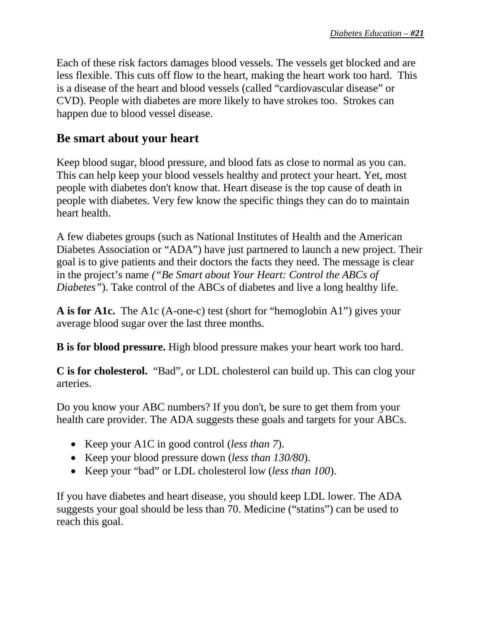Each of these risk factors damages blood vessels. The vessels get blocked and are less flexible. This cuts off flow to the heart, making the heart work too hard. This is a disease of the heart and blood vessels (called "cardiovascular disease" or CVD). People with diabetes are more likely to have strokes too.Strokes can happen due to blood vessel disease.

## **Be smart about your heart**

Keep blood sugar, blood pressure, and blood fats as close to normal as you can. This can help keep your blood vessels healthy and protect your heart. Yet, most people with diabetes don't know that. Heart disease is the top cause of death in people with diabetes. Very few know the specific things they can do to maintain heart health.

A few diabetes groups (such as National Institutes of Health and the American Diabetes Association or "ADA") have just partnered to launch a new project. Their goal is to give patients and their doctors the facts they need. The message is clear in the project's name *("Be Smart about Your Heart: Control the ABCs of Diabetes"*). Take control of the ABCs of diabetes and live a long healthy life.

**A is for A1c.** The A1c (A-one-c) test (short for "hemoglobin A1") gives your average blood sugar over the last three months.

**B is for blood pressure.** High blood pressure makes your heart work too hard.

**C is for cholesterol.** "Bad", or LDL cholesterol can build up. This can clog your arteries.

Do you know your ABC numbers? If you don't, be sure to get them from your health care provider. The ADA suggests these goals and targets for your ABCs.

- Keep your A1C in good control (*less than 7*).
- Keep your blood pressure down (*less than 130/80*).
- Keep your "bad" or LDL cholesterol low (*less than 100*).

If you have diabetes and heart disease, you should keep LDL lower. The ADA suggests your goal should be less than 70. Medicine ("statins") can be used to reach this goal.